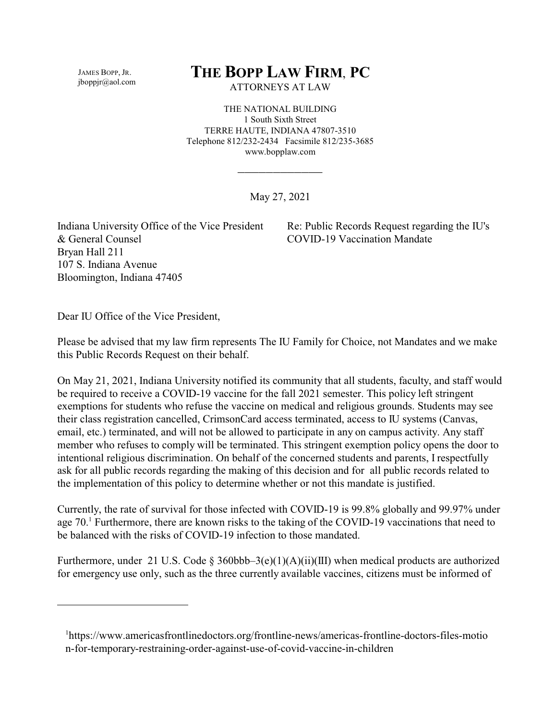JAMES BOPP, JR. jboppjr@aol.com

## **THE BOPP LAW FIRM**, **PC**

ATTORNEYS AT LAW

THE NATIONAL BUILDING 1 South Sixth Street TERRE HAUTE, INDIANA 47807-3510 Telephone 812/232-2434 Facsimile 812/235-3685 www.bopplaw.com

May 27, 2021

\_\_\_\_\_\_\_\_\_\_\_\_

Indiana University Office of the Vice President & General Counsel Bryan Hall 211 107 S. Indiana Avenue Bloomington, Indiana 47405

Re: Public Records Request regarding the IU's COVID-19 Vaccination Mandate

Dear IU Office of the Vice President,

Please be advised that my law firm represents The IU Family for Choice, not Mandates and we make this Public Records Request on their behalf.

On May 21, 2021, Indiana University notified its community that all students, faculty, and staff would be required to receive a COVID-19 vaccine for the fall 2021 semester. This policy left stringent exemptions for students who refuse the vaccine on medical and religious grounds. Students may see their class registration cancelled, CrimsonCard access terminated, access to IU systems (Canvas, email, etc.) terminated, and will not be allowed to participate in any on campus activity. Any staff member who refuses to comply will be terminated. This stringent exemption policy opens the door to intentional religious discrimination. On behalf of the concerned students and parents, I respectfully ask for all public records regarding the making of this decision and for all public records related to the implementation of this policy to determine whether or not this mandate is justified.

Currently, the rate of survival for those infected with COVID-19 is 99.8% globally and 99.97% under age 70.<sup>1</sup> Furthermore, there are known risks to the taking of the COVID-19 vaccinations that need to be balanced with the risks of COVID-19 infection to those mandated.

Furthermore, under 21 U.S. Code § 360bbb–3(e)(1)(A)(ii)(III) when medical products are authorized for emergency use only, such as the three currently available vaccines, citizens must be informed of

<sup>1</sup> https://www.americasfrontlinedoctors.org/frontline-news/americas-frontline-doctors-files-motio n-for-temporary-restraining-order-against-use-of-covid-vaccine-in-children